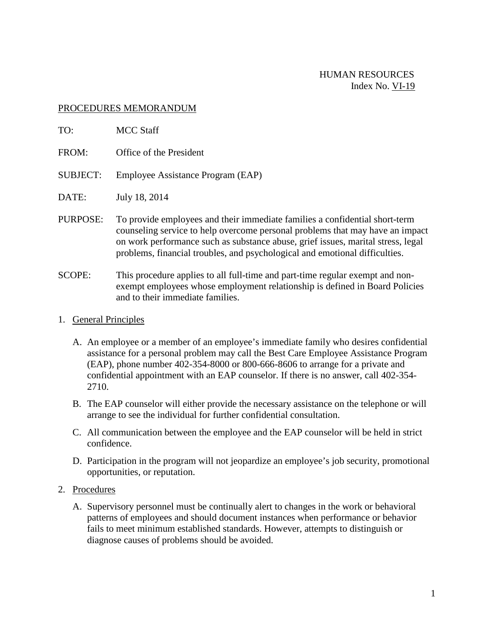## PROCEDURES MEMORANDUM

| TO:                   | MCC Staff                                                                                                                                                                                                                                                                                                                       |
|-----------------------|---------------------------------------------------------------------------------------------------------------------------------------------------------------------------------------------------------------------------------------------------------------------------------------------------------------------------------|
| FROM:                 | Office of the President                                                                                                                                                                                                                                                                                                         |
| <b>SUBJECT:</b>       | Employee Assistance Program (EAP)                                                                                                                                                                                                                                                                                               |
| DATE:                 | July 18, 2014                                                                                                                                                                                                                                                                                                                   |
| PURPOSE:              | To provide employees and their immediate families a confidential short-term<br>counseling service to help overcome personal problems that may have an impact<br>on work performance such as substance abuse, grief issues, marital stress, legal<br>problems, financial troubles, and psychological and emotional difficulties. |
| $C \cap D$ <b>D</b> . | This procedure epplies to all full time and part time recular exampt and non-                                                                                                                                                                                                                                                   |

- SCOPE: This procedure applies to all full-time and part-time regular exempt and nonexempt employees whose employment relationship is defined in Board Policies and to their immediate families.
- 1. General Principles
	- A. An employee or a member of an employee's immediate family who desires confidential assistance for a personal problem may call the Best Care Employee Assistance Program (EAP), phone number 402-354-8000 or 800-666-8606 to arrange for a private and confidential appointment with an EAP counselor. If there is no answer, call 402-354- 2710.
	- B. The EAP counselor will either provide the necessary assistance on the telephone or will arrange to see the individual for further confidential consultation.
	- C. All communication between the employee and the EAP counselor will be held in strict confidence.
	- D. Participation in the program will not jeopardize an employee's job security, promotional opportunities, or reputation.
- 2. Procedures
	- A. Supervisory personnel must be continually alert to changes in the work or behavioral patterns of employees and should document instances when performance or behavior fails to meet minimum established standards. However, attempts to distinguish or diagnose causes of problems should be avoided.